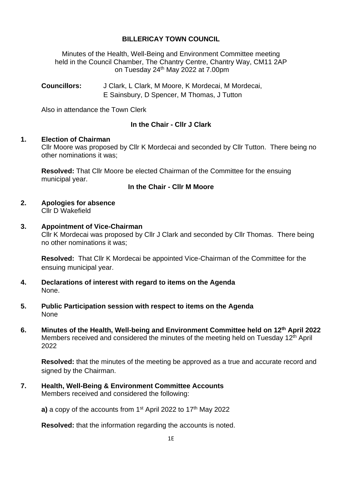# **BILLERICAY TOWN COUNCIL**

Minutes of the Health, Well-Being and Environment Committee meeting held in the Council Chamber, The Chantry Centre, Chantry Way, CM11 2AP on Tuesday 24<sup>th</sup> May 2022 at 7.00pm

**Councillors:** J Clark, L Clark, M Moore, K Mordecai, M Mordecai, E Sainsbury, D Spencer, M Thomas, J Tutton

Also in attendance the Town Clerk

# **In the Chair - Cllr J Clark**

## **1. Election of Chairman**

Cllr Moore was proposed by Cllr K Mordecai and seconded by Cllr Tutton. There being no other nominations it was;

**Resolved:** That Cllr Moore be elected Chairman of the Committee for the ensuing municipal year.

# **In the Chair - Cllr M Moore**

# **2. Apologies for absence**

Cllr D Wakefield

## **3. Appointment of Vice-Chairman**

Cllr K Mordecai was proposed by Cllr J Clark and seconded by Cllr Thomas. There being no other nominations it was;

**Resolved:** That Cllr K Mordecai be appointed Vice-Chairman of the Committee for the ensuing municipal year.

- **4. Declarations of interest with regard to items on the Agenda** None.
- **5. Public Participation session with respect to items on the Agenda None**
- **6. Minutes of the Health, Well-being and Environment Committee held on 12th April 2022** Members received and considered the minutes of the meeting held on Tuesday 12<sup>th</sup> April 2022

**Resolved:** that the minutes of the meeting be approved as a true and accurate record and signed by the Chairman.

**7. Health, Well-Being & Environment Committee Accounts** Members received and considered the following:

**a)** a copy of the accounts from 1<sup>st</sup> April 2022 to 17<sup>th</sup> May 2022

**Resolved:** that the information regarding the accounts is noted.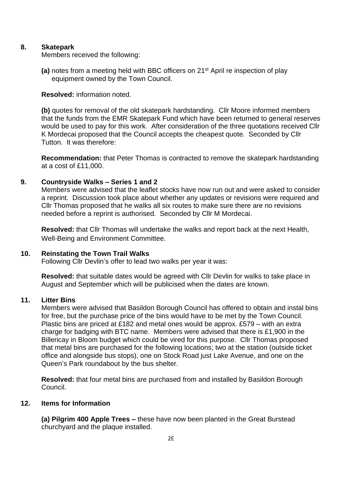# **8. Skatepark**

Members received the following:

**(a)** notes from a meeting held with BBC officers on 21<sup>st</sup> April re inspection of play equipment owned by the Town Council.

**Resolved:** information noted.

**(b)** quotes for removal of the old skatepark hardstanding. Cllr Moore informed members that the funds from the EMR Skatepark Fund which have been returned to general reserves would be used to pay for this work. After consideration of the three quotations received Cllr K Mordecai proposed that the Council accepts the cheapest quote. Seconded by Cllr Tutton. It was therefore:

**Recommendation:** that Peter Thomas is contracted to remove the skatepark hardstanding at a cost of £11,000.

## **9. Countryside Walks – Series 1 and 2**

Members were advised that the leaflet stocks have now run out and were asked to consider a reprint. Discussion took place about whether any updates or revisions were required and Cllr Thomas proposed that he walks all six routes to make sure there are no revisions needed before a reprint is authorised. Seconded by Cllr M Mordecai.

**Resolved:** that Cllr Thomas will undertake the walks and report back at the next Health, Well-Being and Environment Committee.

#### **10. Reinstating the Town Trail Walks**

Following Cllr Devlin's offer to lead two walks per year it was:

**Resolved:** that suitable dates would be agreed with Cllr Devlin for walks to take place in August and September which will be publicised when the dates are known.

## **11. Litter Bins**

Members were advised that Basildon Borough Council has offered to obtain and instal bins for free, but the purchase price of the bins would have to be met by the Town Council. Plastic bins are priced at £182 and metal ones would be approx. £579 – with an extra charge for badging with BTC name. Members were advised that there is £1,900 in the Billericay in Bloom budget which could be vired for this purpose. Cllr Thomas proposed that metal bins are purchased for the following locations; two at the station (outside ticket office and alongside bus stops), one on Stock Road just Lake Avenue, and one on the Queen's Park roundabout by the bus shelter.

**Resolved:** that four metal bins are purchased from and installed by Basildon Borough Council.

#### **12. Items for Information**

**(a) Pilgrim 400 Apple Trees –** these have now been planted in the Great Burstead churchyard and the plaque installed.